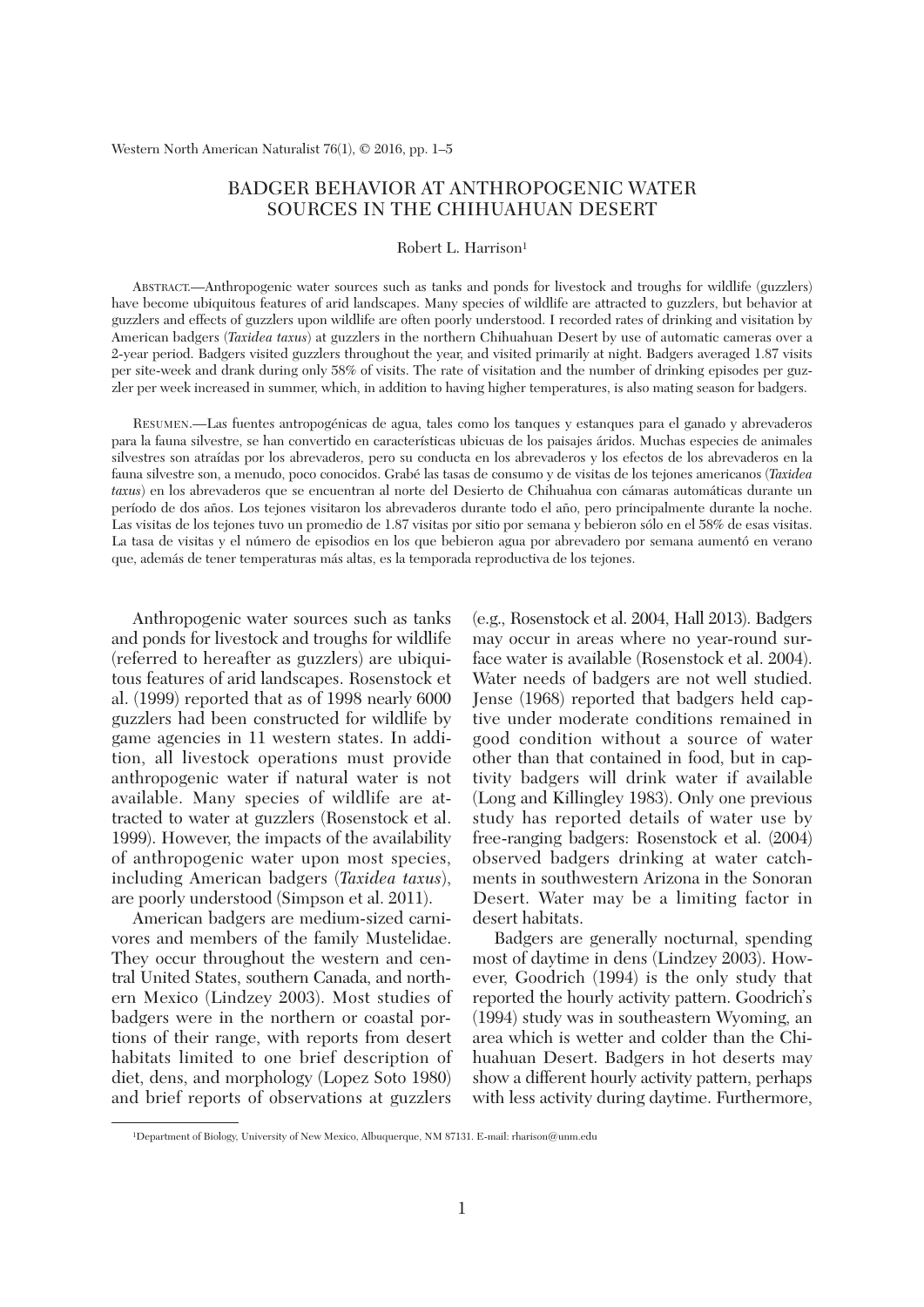# BADGER BEHAVIOR AT ANTHROPOGENIC WATER SOURCES IN THE CHIHUAHUAN DESERT

Robert L. Harrison<sup>1</sup>

 ABSTRACT.—Anthropogenic water sources such as tanks and ponds for livestock and troughs for wildlife (guzzlers) have become ubiquitous features of arid landscapes. Many species of wildlife are attracted to guzzlers, but behavior at guzzlers and effects of guzzlers upon wildlife are often poorly understood. I recorded rates of drinking and visitation by American badgers (*Taxidea taxus*) at guzzlers in the northern Chihuahuan Desert by use of automatic cameras over a 2-year period. Badgers visited guzzlers throughout the year, and visited primarily at night. Badgers averaged 1.87 visits per site-week and drank during only 58% of visits. The rate of visitation and the number of drinking episodes per guzzler per week increased in summer, which, in addition to having higher temperatures, is also mating season for badgers.

 RESUMEN.—Las fuentes antropogénicas de agua, tales como los tanques y estanques para el ganado y abrevaderos para la fauna silvestre, se han convertido en características ubicuas de los paisajes áridos. Muchas especies de animales silvestres son atraídas por los abrevaderos, pero su conducta en los abrevaderos y los efectos de los abrevaderos en la fauna silvestre son, a menudo, poco conocidos. Grabé las tasas de consumo y de visitas de los tejones americanos (*Taxidea taxus*) en los abrevaderos que se encuentran al norte del Desierto de Chihuahua con cámaras automáticas durante un período de dos años. Los tejones visitaron los abrevaderos durante todo el año, pero principalmente durante la noche. Las visitas de los tejones tuvo un promedio de 1.87 visitas por sitio por semana y bebieron sólo en el 58% de esas visitas. La tasa de visitas y el número de episodios en los que bebieron agua por abrevadero por semana aumentó en verano que, además de tener temperaturas más altas, es la temporada reproductiva de los tejones.

 Anthropogenic water sources such as tanks and ponds for livestock and troughs for wildlife (referred to hereafter as guzzlers) are ubiquitous features of arid landscapes. Rosenstock et al. (1999) reported that as of 1998 nearly 6000 guzzlers had been constructed for wildlife by game agencies in 11 western states. In addition, all livestock operations must provide anthropogenic water if natural water is not available. Many species of wildlife are attracted to water at guzzlers (Rosenstock et al. 1999). However, the impacts of the availability of anthropogenic water upon most species, including American badgers (*Taxidea taxus*), are poorly understood (Simpson et al. 2011).

 American badgers are medium-sized carnivores and members of the family Mustelidae. They occur throughout the western and central United States, southern Canada, and northern Mexico (Lindzey 2003). Most studies of badgers were in the northern or coastal portions of their range, with reports from desert habitats limited to one brief description of diet, dens, and morphology (Lopez Soto 1980) and brief reports of observations at guzzlers (e.g., Rosenstock et al. 2004, Hall 2013). Badgers may occur in areas where no year-round surface water is available (Rosenstock et al. 2004). Water needs of badgers are not well studied. Jense (1968) reported that badgers held captive under moderate conditions remained in good condition without a source of water other than that contained in food, but in captivity badgers will drink water if available (Long and Killingley 1983). Only one previous study has reported details of water use by free-ranging badgers: Rosenstock et al. (2004) observed badgers drinking at water catchments in southwestern Arizona in the Sonoran Desert. Water may be a limiting factor in desert habitats.

 Badgers are generally nocturnal, spending most of daytime in dens (Lindzey 2003). However, Goodrich (1994) is the only study that reported the hourly activity pattern. Goodrich's (1994) study was in southeastern Wyoming, an area which is wetter and colder than the Chihuahuan Desert. Badgers in hot deserts may show a different hourly activity pattern, perhaps with less activity during daytime. Furthermore,

 <sup>1</sup>Department of Biology, University of New Mexico, Albuquerque, NM 87131. E-mail: rharison@unm.edu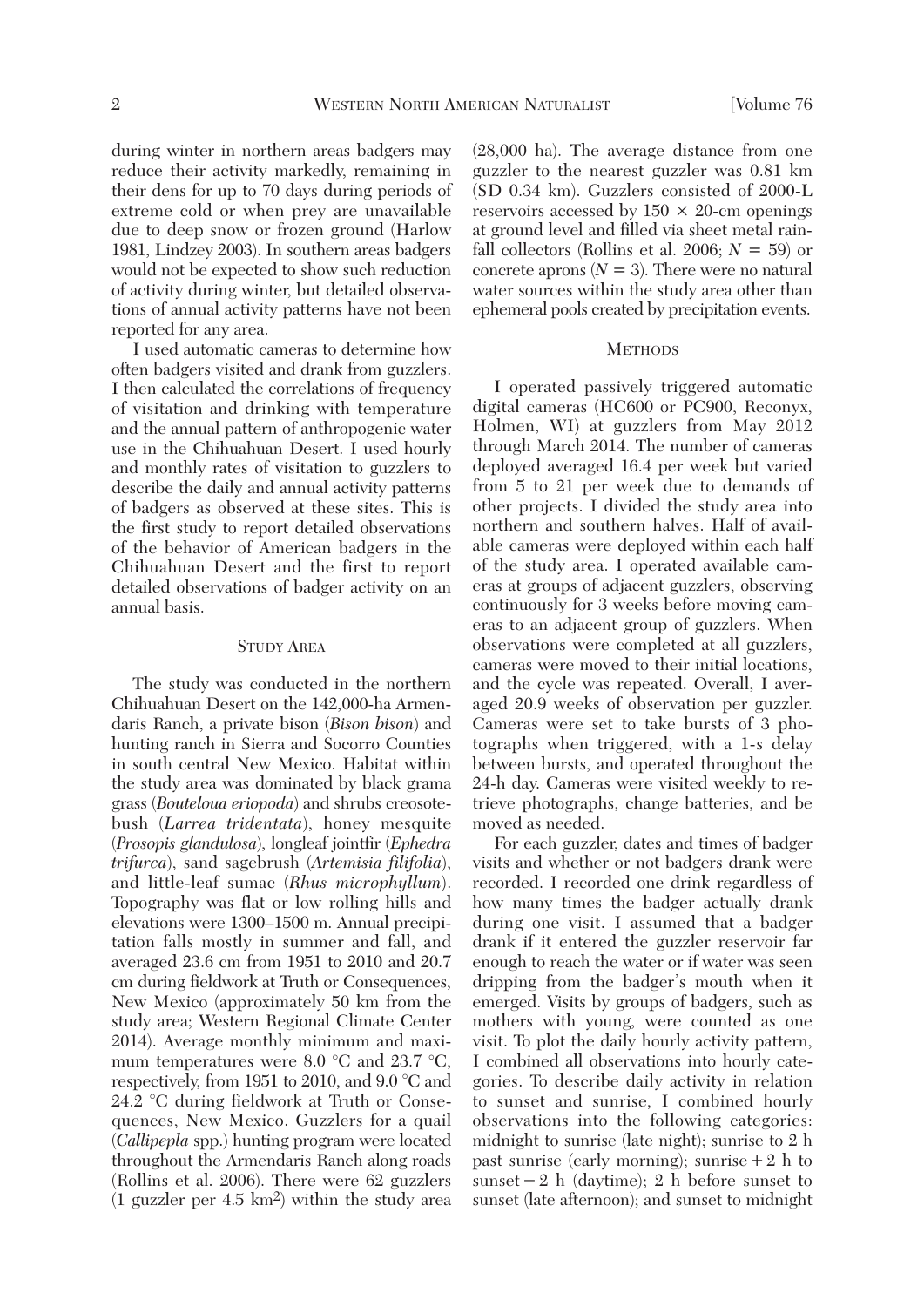during winter in northern areas badgers may reduce their activity markedly, remaining in their dens for up to 70 days during periods of extreme cold or when prey are unavailable due to deep snow or frozen ground (Harlow 1981, Lindzey 2003). In southern areas badgers would not be expected to show such reduction of activity during winter, but detailed observations of annual activity patterns have not been reported for any area.

 I used automatic cameras to determine how often badgers visited and drank from guzzlers. I then calculated the correlations of frequency of visitation and drinking with temperature and the annual pattern of anthropogenic water use in the Chihuahuan Desert. I used hourly and monthly rates of visitation to guzzlers to describe the daily and annual activity patterns of badgers as observed at these sites. This is the first study to report detailed observations of the behavior of American badgers in the Chihuahuan Desert and the first to report detailed observations of badger activity on an annual basis.

## STUDY AREA

 The study was conducted in the northern Chihuahuan Desert on the 142,000-ha Armendaris Ranch, a private bison (*Bison bison*) and hunting ranch in Sierra and Socorro Counties in south central New Mexico. Habitat within the study area was dominated by black grama grass (*Bouteloua eriopoda*) and shrubs creosotebush (*Larrea tridentata*), honey mesquite (*Prosopis glandulosa*), longleaf jointfir (*Ephedra trifurca*), sand sagebrush (*Artemisia filifolia*), and little-leaf sumac (*Rhus microphyllum*). Topography was flat or low rolling hills and elevations were 1300–1500 m. Annual precipitation falls mostly in summer and fall, and averaged 23.6 cm from 1951 to 2010 and 20.7 cm during fieldwork at Truth or Consequences, New Mexico (approximately 50 km from the study area; Western Regional Climate Center 2014). Average monthly minimum and maximum temperatures were 8.0 °C and 23.7 °C, respectively, from 1951 to 2010, and 9.0 °C and 24.2 °C during fieldwork at Truth or Consequences, New Mexico. Guzzlers for a quail (*Callipepla* spp.) hunting program were located throughout the Armendaris Ranch along roads (Rollins et al. 2006). There were 62 guzzlers (1 guzzler per 4.5 km2) within the study area (28,000 ha). The average distance from one guzzler to the nearest guzzler was 0.81 km (SD 0.34 km). Guzzlers consisted of 2000-L reservoirs accessed by  $150 \times 20$ -cm openings at ground level and filled via sheet metal rainfall collectors (Rollins et al. 2006;  $N = 59$ ) or concrete aprons  $(N = 3)$ . There were no natural water sources within the study area other than ephemeral pools created by precipitation events.

### **METHODS**

 I operated passively triggered automatic digital cameras (HC600 or PC900, Reconyx, Holmen, WI) at guzzlers from May 2012 through March 2014. The number of cameras deployed averaged 16.4 per week but varied from 5 to 21 per week due to demands of other projects. I divided the study area into northern and southern halves. Half of available cameras were deployed within each half of the study area. I operated available cameras at groups of adjacent guzzlers, observing continuously for 3 weeks before moving cameras to an adjacent group of guzzlers. When observations were completed at all guzzlers, cameras were moved to their initial locations, and the cycle was repeated. Overall, I averaged 20.9 weeks of observation per guzzler. Cameras were set to take bursts of 3 photographs when triggered, with a 1-s delay between bursts, and operated throughout the 24-h day. Cameras were visited weekly to retrieve photographs, change batteries, and be moved as needed.

 For each guzzler, dates and times of badger visits and whether or not badgers drank were recorded. I recorded one drink regardless of how many times the badger actually drank during one visit. I assumed that a badger drank if it entered the guzzler reservoir far enough to reach the water or if water was seen dripping from the badger's mouth when it emerged. Visits by groups of badgers, such as mothers with young, were counted as one visit. To plot the daily hourly activity pattern, I combined all observations into hourly categories. To describe daily activity in relation to sunset and sunrise, I combined hourly observations into the following categories: midnight to sunrise (late night); sunrise to 2 h past sunrise (early morning); sunrise  $+2$  h to sunset  $-2$  h (daytime); 2 h before sunset to sunset (late afternoon); and sunset to midnight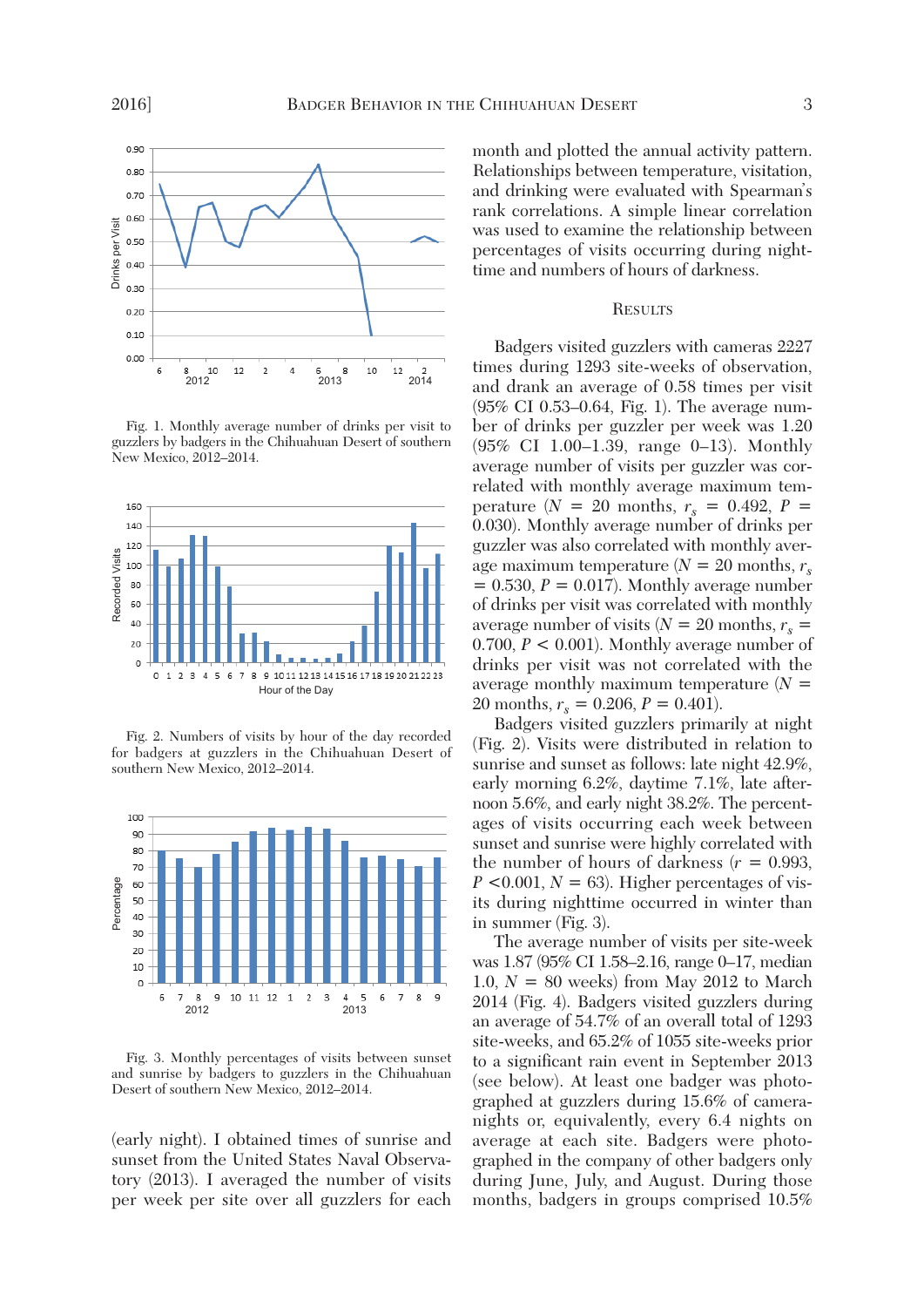

 Fig. 1. Monthly average number of drinks per visit to guzzlers by badgers in the Chihuahuan Desert of southern New Mexico, 2012–2014.



 Fig. 2. Numbers of visits by hour of the day recorded for badgers at guzzlers in the Chihuahuan Desert of southern New Mexico, 2012–2014.



 Fig. 3. Monthly percentages of visits between sunset and sunrise by badgers to guzzlers in the Chihuahuan Desert of southern New Mexico, 2012–2014.

(early night). I obtained times of sunrise and sunset from the United States Naval Observatory (2013). I averaged the number of visits per week per site over all guzzlers for each month and plotted the annual activity pattern. Relationships between temperature, visitation, and drinking were evaluated with Spearman's rank correlations. A simple linear correlation was used to examine the relationship between percentages of visits occurring during nighttime and numbers of hours of darkness.

## **RESULTS**

 Badgers visited guzzlers with cameras 2227 times during 1293 site-weeks of observation, and drank an average of 0.58 times per visit (95% CI 0.53–0.64, Fig. 1). The average number of drinks per guzzler per week was 1.20 (95% CI 1.00–1.39, range 0–13). Monthly average number of visits per guzzler was correlated with monthly average maximum temperature  $(N = 20 \text{ months}, r_s = 0.492, P =$ 0.030). Monthly average number of drinks per guzzler was also correlated with monthly average maximum temperature  $(N = 20$  months,  $r_s$  $= 0.530, P = 0.017$ . Monthly average number of drinks per visit was correlated with monthly average number of visits ( $N = 20$  months,  $r_s$ 0.700, *P* < 0.001). Monthly average number of drinks per visit was not correlated with the average monthly maximum temperature (*N* = 20 months,  $r_s = 0.206$ ,  $P = 0.401$ .

 Badgers visited guzzlers primarily at night (Fig. 2). Visits were distributed in relation to sunrise and sunset as follows: late night 42.9%, early morning 6.2%, daytime 7.1%, late afternoon 5.6%, and early night 38.2%. The percentages of visits occurring each week between sunset and sunrise were highly correlated with the number of hours of darkness  $(r = 0.993,$  $P \leq 0.001$ ,  $N = 63$ ). Higher percentages of visits during nighttime occurred in winter than in summer (Fig. 3).

 The average number of visits per site-week was 1.87 (95% CI 1.58–2.16, range 0–17, median 1.0,  $N = 80$  weeks) from May 2012 to March 2014 (Fig. 4). Badgers visited guzzlers during an average of 54.7% of an overall total of 1293 site-weeks, and 65.2% of 1055 site-weeks prior to a significant rain event in September 2013 (see below). At least one badger was photographed at guzzlers during 15.6% of cameranights or, equivalently, every 6.4 nights on average at each site. Badgers were photographed in the company of other badgers only during June, July, and August. During those months, badgers in groups comprised 10.5%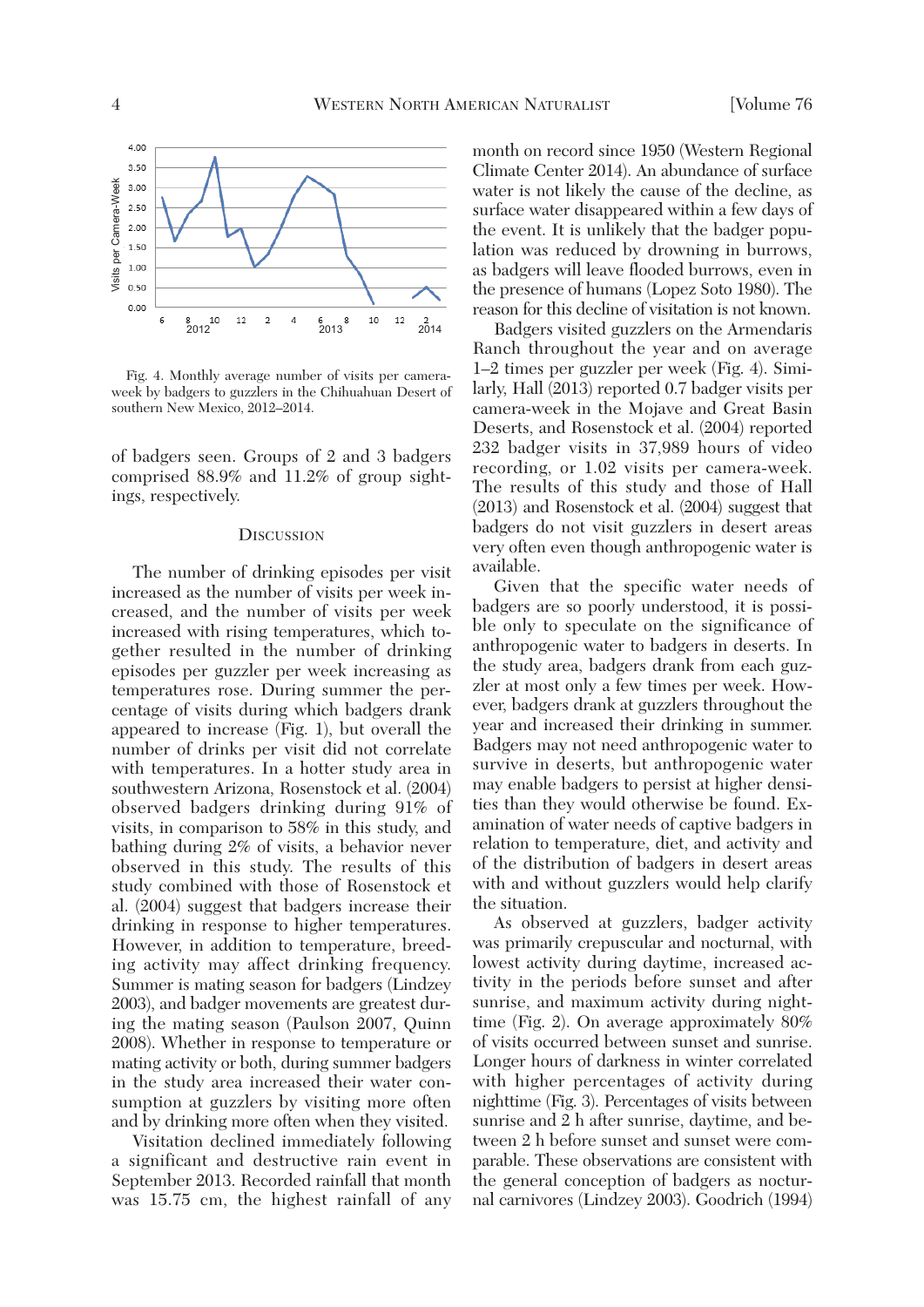

 Fig. 4. Monthly average number of visits per cameraweek by badgers to guzzlers in the Chihuahuan Desert of southern New Mexico, 2012–2014.

of badgers seen. Groups of 2 and 3 badgers comprised 88.9% and 11.2% of group sightings, respectively.

#### **DISCUSSION**

 The number of drinking episodes per visit increased as the number of visits per week increased, and the number of visits per week increased with rising temperatures, which together resulted in the number of drinking episodes per guzzler per week increasing as temperatures rose. During summer the percentage of visits during which badgers drank appeared to increase (Fig. 1), but overall the number of drinks per visit did not correlate with temperatures. In a hotter study area in southwestern Arizona, Rosenstock et al. (2004) observed badgers drinking during 91% of visits, in comparison to 58% in this study, and bathing during 2% of visits, a behavior never observed in this study. The results of this study combined with those of Rosenstock et al. (2004) suggest that badgers increase their drinking in response to higher temperatures. However, in addition to temperature, breeding activity may affect drinking frequency. Summer is mating season for badgers (Lindzey 2003), and badger movements are greatest during the mating season (Paulson 2007, Quinn 2008). Whether in response to temperature or mating activity or both, during summer badgers in the study area increased their water consumption at guzzlers by visiting more often and by drinking more often when they visited.

 Visitation declined immediately following a significant and destructive rain event in September 2013. Recorded rainfall that month was 15.75 cm, the highest rainfall of any month on record since 1950 (Western Regional Climate Center 2014). An abundance of surface water is not likely the cause of the decline, as surface water disappeared within a few days of the event. It is unlikely that the badger population was reduced by drowning in burrows, as badgers will leave flooded burrows, even in the presence of humans (Lopez Soto 1980). The reason for this decline of visitation is not known.

 Badgers visited guzzlers on the Armendaris Ranch throughout the year and on average 1–2 times per guzzler per week (Fig. 4). Similarly, Hall (2013) reported 0.7 badger visits per camera-week in the Mojave and Great Basin Deserts, and Rosenstock et al. (2004) reported 232 badger visits in 37,989 hours of video recording, or 1.02 visits per camera-week. The results of this study and those of Hall (2013) and Rosenstock et al. (2004) suggest that badgers do not visit guzzlers in desert areas very often even though anthropogenic water is available.

 Given that the specific water needs of badgers are so poorly understood, it is possible only to speculate on the significance of anthropogenic water to badgers in deserts. In the study area, badgers drank from each guzzler at most only a few times per week. However, badgers drank at guzzlers throughout the year and increased their drinking in summer. Badgers may not need anthropogenic water to survive in deserts, but anthropogenic water may enable badgers to persist at higher densities than they would otherwise be found. Examination of water needs of captive badgers in relation to temperature, diet, and activity and of the distribution of badgers in desert areas with and without guzzlers would help clarify the situation.

 As observed at guzzlers, badger activity was primarily crepuscular and nocturnal, with lowest activity during daytime, increased activity in the periods before sunset and after sunrise, and maximum activity during nighttime (Fig. 2). On average approximately 80% of visits occurred between sunset and sunrise. Longer hours of darkness in winter correlated with higher percentages of activity during nighttime (Fig. 3). Percentages of visits between sunrise and 2 h after sunrise, daytime, and between 2 h before sunset and sunset were comparable. These observations are consistent with the general conception of badgers as nocturnal carnivores (Lindzey 2003). Goodrich (1994)